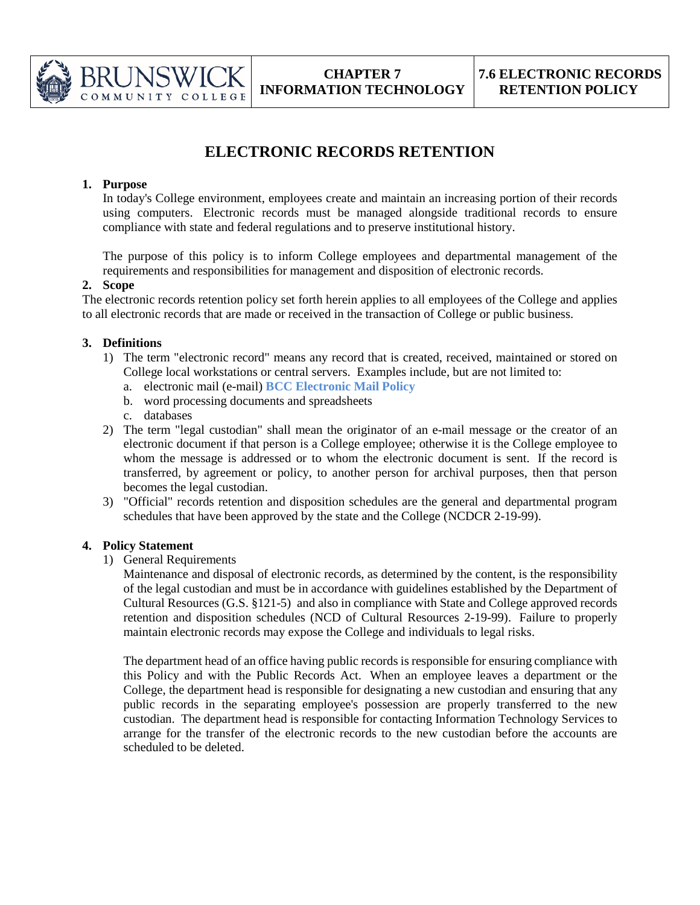

# **ELECTRONIC RECORDS RETENTION**

## **1. Purpose**

3RUNSW

COMMUNITY COLLEGE

In today's College environment, employees create and maintain an increasing portion of their records using computers. Electronic records must be managed alongside traditional records to ensure compliance with state and federal regulations and to preserve institutional history.

The purpose of this policy is to inform College employees and departmental management of the requirements and responsibilities for management and disposition of electronic records.

#### **2. Scope**

The electronic records retention policy set forth herein applies to all employees of the College and applies to all electronic records that are made or received in the transaction of College or public business.

#### **3. Definitions**

- 1) The term "electronic record" means any record that is created, received, maintained or stored on College local workstations or central servers. Examples include, but are not limited to:
	- a. electronic mail (e-mail) **BCC Electronic Mail Policy**
	- b. word processing documents and spreadsheets
	- c. databases
- 2) The term "legal custodian" shall mean the originator of an e-mail message or the creator of an electronic document if that person is a College employee; otherwise it is the College employee to whom the message is addressed or to whom the electronic document is sent. If the record is transferred, by agreement or policy, to another person for archival purposes, then that person becomes the legal custodian.
- 3) "Official" records retention and disposition schedules are the general and departmental program schedules that have been approved by the state and the College (NCDCR 2-19-99).

## **4. Policy Statement**

1) General Requirements

Maintenance and disposal of electronic records, as determined by the content, is the responsibility of the legal custodian and must be in accordance with guidelines established by the Department of Cultural Resources (G.S. §121-5) and also in compliance with State and College approved records retention and disposition schedules (NCD of Cultural Resources 2-19-99). Failure to properly maintain electronic records may expose the College and individuals to legal risks.

The department head of an office having public records is responsible for ensuring compliance with this Policy and with the Public Records Act. When an employee leaves a department or the College, the department head is responsible for designating a new custodian and ensuring that any public records in the separating employee's possession are properly transferred to the new custodian. The department head is responsible for contacting Information Technology Services to arrange for the transfer of the electronic records to the new custodian before the accounts are scheduled to be deleted.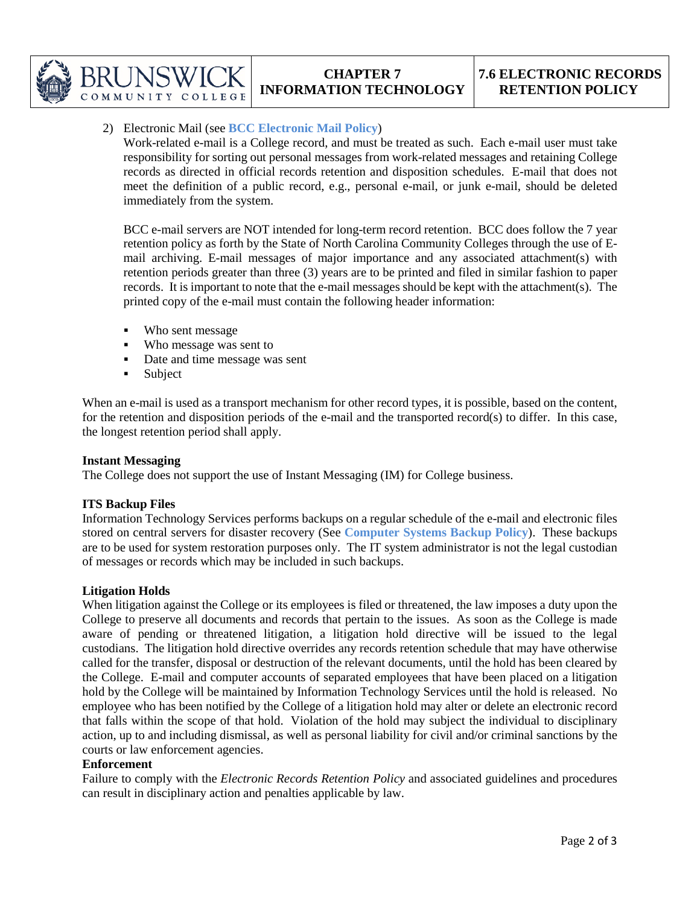

# 2) Electronic Mail (see **BCC Electronic Mail Policy**)

COLLEGE

Work-related e-mail is a College record, and must be treated as such. Each e-mail user must take responsibility for sorting out personal messages from work-related messages and retaining College records as directed in official records retention and disposition schedules. E-mail that does not meet the definition of a public record, e.g., personal e-mail, or junk e-mail, should be deleted immediately from the system.

BCC e-mail servers are NOT intended for long-term record retention. BCC does follow the 7 year retention policy as forth by the State of North Carolina Community Colleges through the use of Email archiving. E-mail messages of major importance and any associated attachment(s) with retention periods greater than three (3) years are to be printed and filed in similar fashion to paper records. It is important to note that the e-mail messages should be kept with the attachment(s). The printed copy of the e-mail must contain the following header information:

- Who sent message
- Who message was sent to
- Date and time message was sent
- **Subject**

When an e-mail is used as a transport mechanism for other record types, it is possible, based on the content, for the retention and disposition periods of the e-mail and the transported record(s) to differ. In this case, the longest retention period shall apply.

#### **Instant Messaging**

COMMUNITY

The College does not support the use of Instant Messaging (IM) for College business.

#### **ITS Backup Files**

Information Technology Services performs backups on a regular schedule of the e-mail and electronic files stored on central servers for disaster recovery (See **Computer Systems Backup Policy**). These backups are to be used for system restoration purposes only. The IT system administrator is not the legal custodian of messages or records which may be included in such backups.

## **Litigation Holds**

When litigation against the College or its employees is filed or threatened, the law imposes a duty upon the College to preserve all documents and records that pertain to the issues. As soon as the College is made aware of pending or threatened litigation, a litigation hold directive will be issued to the legal custodians. The litigation hold directive overrides any records retention schedule that may have otherwise called for the transfer, disposal or destruction of the relevant documents, until the hold has been cleared by the College. E-mail and computer accounts of separated employees that have been placed on a litigation hold by the College will be maintained by Information Technology Services until the hold is released. No employee who has been notified by the College of a litigation hold may alter or delete an electronic record that falls within the scope of that hold. Violation of the hold may subject the individual to disciplinary action, up to and including dismissal, as well as personal liability for civil and/or criminal sanctions by the courts or law enforcement agencies.

#### **Enforcement**

Failure to comply with the *Electronic Records Retention Policy* and associated guidelines and procedures can result in disciplinary action and penalties applicable by law.